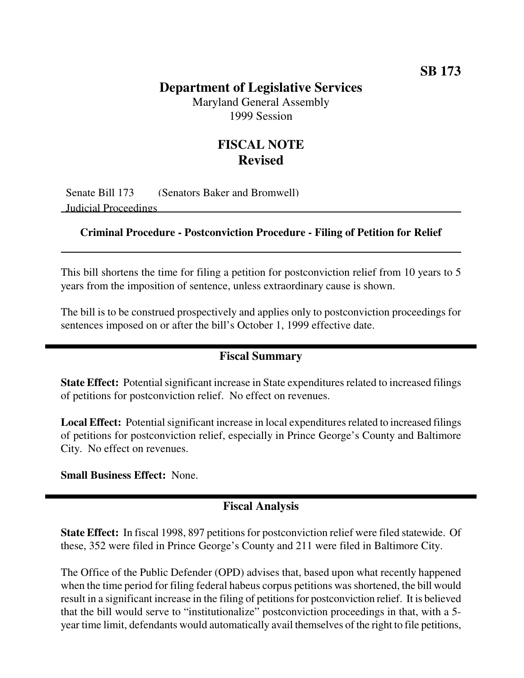## **SB 173**

## **Department of Legislative Services**

Maryland General Assembly 1999 Session

# **FISCAL NOTE Revised**

Senate Bill 173 (Senators Baker and Bromwell) Judicial Proceedings

#### **Criminal Procedure - Postconviction Procedure - Filing of Petition for Relief**

This bill shortens the time for filing a petition for postconviction relief from 10 years to 5 years from the imposition of sentence, unless extraordinary cause is shown.

The bill is to be construed prospectively and applies only to postconviction proceedings for sentences imposed on or after the bill's October 1, 1999 effective date.

## **Fiscal Summary**

**State Effect:** Potential significant increase in State expenditures related to increased filings of petitions for postconviction relief. No effect on revenues.

**Local Effect:** Potential significant increase in local expenditures related to increased filings of petitions for postconviction relief, especially in Prince George's County and Baltimore City. No effect on revenues.

**Small Business Effect:** None.

#### **Fiscal Analysis**

**State Effect:** In fiscal 1998, 897 petitions for postconviction relief were filed statewide. Of these, 352 were filed in Prince George's County and 211 were filed in Baltimore City.

The Office of the Public Defender (OPD) advises that, based upon what recently happened when the time period for filing federal habeus corpus petitions was shortened, the bill would result in a significant increase in the filing of petitionsfor postconviction relief. It is believed that the bill would serve to "institutionalize" postconviction proceedings in that, with a 5 year time limit, defendants would automatically avail themselves of the right to file petitions,